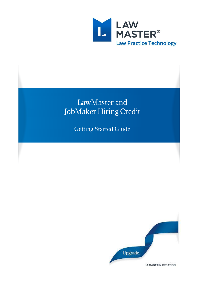

# LawMaster and JobMaker Hiring Credit

Getting Started Guide

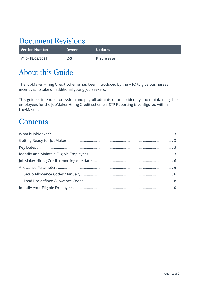# Document Revisions

| Version Number    | <b>Owner</b> | <b>Updates</b> |
|-------------------|--------------|----------------|
| V1.0 (18/02/2021) | LXS.         | First release  |

# About this Guide

The JobMaker Hiring Credit scheme has been introduced by the ATO to give businesses incentives to take on additional young job seekers.

This guide is intended for system and payroll administrators to identify and maintain eligible employees for the JobMaker Hiring Credit scheme if STP Reporting is configured within LawMaster.

### **Contents**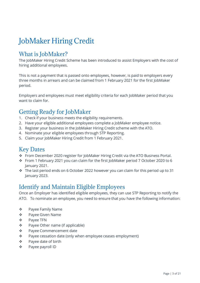# JobMaker Hiring Credit

#### <span id="page-2-0"></span>What is JobMaker?

The JobMaker Hiring Credit Scheme has been introduced to assist Employers with the cost of hiring additional employees.

This is not a payment that is passed onto employees, however, is paid to employers every three months in arrears and can be claimed from 1 February 2021 for the first JobMaker period.

Employers and employees must meet eligibility criteria for each JobMaker period that you want to claim for.

### <span id="page-2-1"></span>Getting Ready for JobMaker

- 1. Check if your business meets the eligibility requirements.
- 2. Have your eligible additional employees complete a JobMaker employee notice.
- 3. Register your business in the JobMaker Hiring Credit scheme with the ATO.
- 4. Nominate your eligible employees through STP Reporting.
- 5. Claim your JobMaker Hiring Credit from 1 February 2021.

### <span id="page-2-2"></span>Key Dates

- ❖ From December 2020 register for JobMaker Hiring Credit via the ATO Business Portal.
- ❖ From 1 February 2021 you can claim for the first JobMaker period 7 October 2020 to 6 January 2021.
- ❖ The last period ends on 6 October 2022 however you can claim for this period up to 31 January 2023.

### <span id="page-2-3"></span>Identify and Maintain Eligible Employees

Once an Employer has identified eligible employees, they can use STP Reporting to notify the ATO. To nominate an employee, you need to ensure that you have the following information:

- ❖ Payee Family Name
- ❖ Payee Given Name
- ❖ Payee TFN
- ❖ Payee Other name (if applicable)
- ❖ Payee Commencement date
- ❖ Payee cessation date (only when employee ceases employment)
- ❖ Payee date of birth
- ❖ Payee payroll ID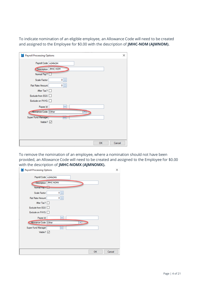To indicate nomination of an eligible employee, an Allowance Code will need to be created and assigned to the Employee for \$0.00 with the description of **JMHC-NOM (AJMNOM).**

| <b>D.</b> Payroll Processing Options | ×            |
|--------------------------------------|--------------|
| Payroll Code   AJMNOM                |              |
| JMHC-NOM<br>Description              |              |
| Normal Pay? [                        |              |
| $\hat{z}$<br>Scale Factor<br>0       |              |
| ¢<br>0<br>Flat Rate/Amount           |              |
| After Tax? $\Box$                    |              |
| Exclude from EGS                     |              |
| Exclude on PAYG                      |              |
| Payee Id<br>                         |              |
| Other<br><b>Allowance Code</b>       |              |
| Super Fund Manager                   |              |
| Visible? $\vee$                      |              |
|                                      |              |
|                                      |              |
|                                      |              |
|                                      | OK<br>Cancel |

To remove the nomination of an employee, where a nomination should not have been provided, an Allowance Code will need to be created and assigned to the Employee for \$0.00 with the description of **JMHC-NOMX (AJMNOMX).**

| <b>D.</b> Payroll Processing Options |                  |    | ×      |
|--------------------------------------|------------------|----|--------|
| Payroll Code   AJMNOMX               |                  |    |        |
| Description<br>Normal Pay !          | <b>JMHC-NOMX</b> |    |        |
| Scale Factor                         | ¢<br>0           |    |        |
| Flat Rate/Amount                     | $0 \mid z$       |    |        |
| After Tax? $\Box$                    |                  |    |        |
| Exclude from EGS                     |                  |    |        |
| Exclude on PAYG                      |                  |    |        |
| Payee Id                             |                  |    |        |
| Allowance Code Other                 |                  |    |        |
| Super Fund Manager                   |                  |    |        |
| Visible? $\boxed{\smile}$            |                  |    |        |
|                                      |                  |    |        |
|                                      |                  |    |        |
|                                      |                  |    |        |
|                                      |                  | OK | Cancel |
|                                      |                  |    |        |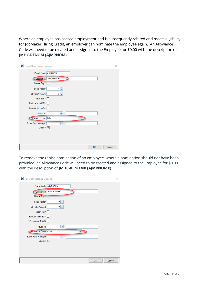Where an employee has ceased employment and is subsequently rehired and meets eligibility for JobMaker Hiring Credit, an employer can nominate the employee again. An Allowance Code will need to be created and assigned to the Employee for \$0.00 with the description of **JMHC-RENOM (AJMRNOM).** 

| <b>1.</b> Payroll Processing Options | ×            |
|--------------------------------------|--------------|
| Payroll Code   AJMRNOM               |              |
| JMHC-RENOM<br>Description            |              |
| Normal Pay?                          |              |
| $0 \mid z$<br>Scale Factor           |              |
| $0 \mid z \mid$<br>Flat Rate/Amount  |              |
| After Tax?                           |              |
| Exclude from EGS                     |              |
| Exclude on PAYG                      |              |
| Payee Id<br>                         |              |
| Allowance Code Other                 |              |
| Super Fund Manager<br>₩,             |              |
| Visible? $\vee$                      |              |
|                                      |              |
|                                      |              |
|                                      |              |
|                                      | Cancel<br>OK |

To remove the rehire nomination of an employee, where a nomination should not have been provided, an Allowance Code will need to be created and assigned to the Employee for \$0.00 with the description of **JMHC-RENOMX (AJMRNOMX).**

| <b>1.</b> Payroll Processing Options   | ×      |
|----------------------------------------|--------|
| Payroll Code   AJMRNOMX                |        |
| JMHC-RENOMX<br>Description             |        |
| Normal Pay?                            |        |
| $0 \div$<br>Scale Factor               |        |
| $\hat{\div}$<br>Flat Rate/Amount<br> 0 |        |
| After Tax?                             |        |
| Exclude from EGS <sup>[]</sup>         |        |
| Exclude on PAYG                        |        |
| Payee Id<br>                           |        |
| Allowance Code Other                   |        |
| Super Fund Manager<br>                 |        |
| Visible? $\triangledown$               |        |
|                                        |        |
|                                        |        |
|                                        |        |
| OK                                     | Cancel |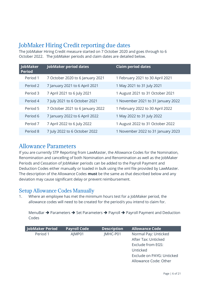### <span id="page-5-0"></span>JobMaker Hiring Credit reporting due dates

The JobMaker Hiring Credit measure started on 7 October 2020 and goes through to 6 October 2022. The JobMaker periods and claim dates are detailed below.

| JobMaker<br><b>Period</b> | <b>JobMaker period dates</b>     | <b>Claim period dates</b>          |
|---------------------------|----------------------------------|------------------------------------|
| Period 1                  | 7 October 2020 to 6 January 2021 | 1 February 2021 to 30 April 2021   |
| Period 2                  | 7 January 2021 to 6 April 2021   | 1 May 2021 to 31 July 2021         |
| Period 3                  | 7 April 2021 to 6 July 2021      | 1 August 2021 to 31 October 2021   |
| Period 4                  | 7 July 2021 to 6 October 2021    | 1 November 2021 to 31 January 2022 |
| Period 5                  | 7 October 2021 to 6 January 2022 | 1 February 2022 to 30 April 2022   |
| Period 6                  | 7 January 2022 to 6 April 2022   | 1 May 2022 to 31 July 2022         |
| Period 7                  | 7 April 2022 to 6 July 2022      | 1 August 2022 to 31 October 2022   |
| Period 8                  | 7 July 2022 to 6 October 2022    | 1 November 2022 to 31 January 2023 |

#### <span id="page-5-1"></span>Allowance Parameters

If you are currently STP Reporting from LawMaster, the Allowance Codes for the Nomination, Renomination and cancelling of both Nomination and Renomination as well as the JobMaker Periods and Cessation of JobMaker periods can be added to the Payroll Payment and Deduction Codes either manually or loaded in bulk using the xml file provided by LawMaster. The description of the Allowance Codes **must** be the same as that described below and any deviation may cause significant delay or prevent reimbursement.

#### <span id="page-5-2"></span>Setup Allowance Codes Manually

1. Where an employee has met the minimum hours test for a JobMaker period, the allowance codes will need to be created for the period/s you intend to claim for.

MenuBar → Parameters → Set Parameters → Payroll → Payroll Payment and Deduction Codes

| <b>JobMaker Period</b> | <b>Payroll Code</b> | <b>Description</b> | <b>Allowance Code</b>     |
|------------------------|---------------------|--------------------|---------------------------|
| Period 1               | AJMP01              | JMHC-P01           | Normal Pay: Unticked      |
|                        |                     |                    | After Tax: Unticked       |
|                        |                     |                    | Exclude from EGS:         |
|                        |                     |                    | Unticked                  |
|                        |                     |                    | Exclude on PAYG: Unticked |
|                        |                     |                    | Allowance Code: Other     |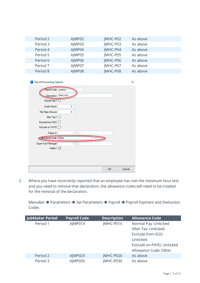| Period 2 | AJMP02 | JMHC-P02 | As above |  |
|----------|--------|----------|----------|--|
| Period 3 | AIMP03 | JMHC-P03 | As above |  |
| Period 4 | AJMP04 | JMHC-P04 | As above |  |
| Period 5 | AJMP05 | JMHC-P05 | As above |  |
| Period 6 | AJMP06 | JMHC-P06 | As above |  |
| Period 7 | AIMP07 | JMHC-P07 | As above |  |
| Period 8 | AJMP08 | JMHC-P08 | As above |  |

| <b>1.</b> Payroll Processing Options        |                | × |
|---------------------------------------------|----------------|---|
| Payroll Code AJMP01<br>Description JMHC-P01 |                |   |
| Normal Pay?                                 |                |   |
| Scale Factor                                | 0 <sup>2</sup> |   |
| Flat Rate/Amount                            | 0 <sup>2</sup> |   |
| After Tax?                                  |                |   |
| Exclude from EGS                            |                |   |
| Exclude on PAYG O                           |                |   |
| Payee Id                                    |                |   |
| Allowance Code Other                        |                |   |
| Super Fund Manager                          |                |   |
| Visible? $\boxed{\smile}$                   |                |   |
|                                             |                |   |
|                                             |                |   |
|                                             |                |   |
|                                             | OK<br>Cancel   |   |

2. Where you have incorrectly reported that an employee has met the minimum hour test and you need to remove that declaration, the allowance codes will need to be created for the removal of the declaration.

MenuBar ➔ Parameters ➔ Set Parameters ➔ Payroll ➔ Payroll Payment and Deduction Codes

| <b>JobMaker Period</b> | <b>Payroll Code</b> | <b>Description</b> | <b>Allowance Code</b>     |
|------------------------|---------------------|--------------------|---------------------------|
| Period 1               | AJMP01X             | JMHC-P01X          | Normal Pay: Unticked      |
|                        |                     |                    | After Tax: Unticked       |
|                        |                     |                    | Exclude from EGS:         |
|                        |                     |                    | Unticked                  |
|                        |                     |                    | Exclude on PAYG: Unticked |
|                        |                     |                    | Allowance Code: Other     |
| Period 2               | AJMP02X             | JMHC-P02X          | As above                  |
| Period 3               | AJMP03X             | JMHC-P03X          | As above                  |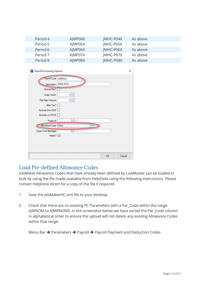| Period 4 | AIMP04X | <b>IMHC-P04X</b> | As above |  |
|----------|---------|------------------|----------|--|
| Period 5 | AJMP05X | JMHC-P05X        | As above |  |
| Period 6 | AIMP06X | <b>IMHC-P06X</b> | As above |  |
| Period 7 | AJMP07X | JMHC-P07X        | As above |  |
| Period 8 | AIMP08X | <b>IMHC-P08X</b> | As above |  |

| <b>D</b> Payroll Processing Options |                           | × |
|-------------------------------------|---------------------------|---|
| Payroll Code AJMP01X                |                           |   |
| Description                         | JMHC-P01X                 |   |
| Normal Pay?                         |                           |   |
| Scale Factor                        | $\ddot{\phantom{1}}$<br>0 |   |
| Flat Rate/Amount                    | ¢<br>0                    |   |
| After Tax?                          |                           |   |
| Exclude from EGS                    |                           |   |
| Exclude on PAYG                     |                           |   |
| Payee Id                            |                           |   |
| Allowance Code Other                |                           |   |
| Super Fund Manager                  | $\cdots$                  |   |
| Visible? $\triangledown$            |                           |   |
|                                     |                           |   |
|                                     |                           |   |
|                                     |                           |   |
|                                     | OK<br>Cancel              |   |

#### <span id="page-7-0"></span>Load Pre-defined Allowance Codes

JobMaker Allowance Codes that have already been defined by LawMaster can be loaded in bulk by using the file made available from HelpDesk using the following instructions. Please contact HelpDesk direct for a copy of the file if required.

- 1. Save the JobMakerHC.xml file to your desktop.
- 2. Check that there are no existing PC Parameters with a Par\_Code within the range AJMNOM to AJMRNOMX. In the screenshot below we have sorted the Par\_Code column in alphabetical order to ensure the upload will not delete any existing Allowance Codes within that range.

Menu Bar ➔ Parameters ➔ Payroll ➔ Payroll Payment and Deduction Codes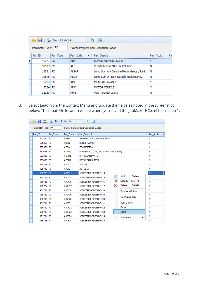|                                                              |          | $\boxed{5}$ No. of Hits 41 | x                             | ø                                          |           |    |  |  |  |  |  |
|--------------------------------------------------------------|----------|----------------------------|-------------------------------|--------------------------------------------|-----------|----|--|--|--|--|--|
| PC<br>Parameter Type:<br>Payroll Payment and Deduction Codes |          |                            |                               |                                            |           |    |  |  |  |  |  |
|                                                              | Par ID   | Par Type                   | $\bullet$ $\circ$<br>Par Code | Par Descript                               | Par Acct1 | Pa |  |  |  |  |  |
|                                                              | 42071 PC |                            | <b>ABX</b>                    | <b>BONUS WITHOUT SUPER</b>                 |           |    |  |  |  |  |  |
|                                                              | 18107 PC |                            | <b>AFS</b>                    | REIMBURSEMENT FOR COURSE                   | N         |    |  |  |  |  |  |
|                                                              | 10531 PC |                            | <b>ALSAR</b>                  | Lump Sum A - Genuine Redundancy / Reti   N |           |    |  |  |  |  |  |
|                                                              | 19545 PC |                            | <b>ALSD</b>                   | Lump Sum D - Non Taxable Redundancy        | Ν         |    |  |  |  |  |  |
|                                                              | 5233 PC  |                            | AME                           | MEAL ALLOWANCE                             | v         |    |  |  |  |  |  |
|                                                              | 5234 PC  |                            | AMV                           | MOTOR VEHICLE                              | v         |    |  |  |  |  |  |
|                                                              | 31239 PC |                            | <b>APPL</b>                   | Paid Parental Leave                        | N         |    |  |  |  |  |  |

3. Select **Load** from the Context Menu and update the fields as noted in the screenshot below. The Input File location will be where you saved the JobMakerHC.xml file in step 1.

| <b>● 日 ▲ &amp; No. of Hits 84</b> |          |                    | 卥<br>ø                                |    |                         |           |  |  |  |  |
|-----------------------------------|----------|--------------------|---------------------------------------|----|-------------------------|-----------|--|--|--|--|
| Parameter Type: PC                |          |                    | Payroll Payment and Deduction Codes   |    |                         |           |  |  |  |  |
| Par ID                            | Par Type | Par_Code           | Par_Descript                          |    |                         | Par Acct1 |  |  |  |  |
| 497290 PC                         |          | <b>AMEN</b>        | AME MEALS ALLOWANCE NEW               |    |                         | Ν         |  |  |  |  |
| 565355 PC                         |          | <b>ABON</b>        | <b>BONUS PAYMENT</b>                  |    |                         | Y         |  |  |  |  |
| 209471 PC                         |          | <b>ACOM</b>        | COMMISSION                            |    |                         | Y         |  |  |  |  |
| 463698 PC                         |          | <b>ADANG</b>       | DANGER ALL (TAX, GROSS PS, YES SUPER) |    |                         | Y         |  |  |  |  |
| 580325 PC                         |          | AOTH <sub>1</sub>  | DRY CLEAN PANTS                       |    |                         | Ν         |  |  |  |  |
| 492048 PC                         |          | AOTH <sub>2</sub>  | DRY CLEAN SHIRTS                      |    |                         | Ν         |  |  |  |  |
| 936708 PC                         |          | AJKT1              | JK-TIER1                              |    |                         | Ν         |  |  |  |  |
| 936709 PC                         |          | AJKT <sub>2</sub>  | JK-TIER <sub>2</sub>                  | Ν  |                         |           |  |  |  |  |
| 936724 PC                         |          | AJKF14             | JOBKEEPER-FINISH-FN14                 |    |                         | N         |  |  |  |  |
| 936725 PC                         |          | AJKF15             | JOBKEEPER-FINISH-FN15                 | n  | $Ctrl + A$<br>Add       | Ν         |  |  |  |  |
| 936726 PC                         |          | <b>AJKF16</b>      | JOBKEEPER-FINISH-FN16                 | Z  | Modify<br>Ctrl+M        | Ν         |  |  |  |  |
| 936727 PC                         |          | AJKF17             | JOBKEEPER-FINISH-FN17                 | ×. | $Ctrl + D$<br>Delete    | Ν         |  |  |  |  |
| 936728 PC                         |          | <b>A IKF18</b>     | JOBKEEPER-FINISH-FN18                 |    | <b>View Audit Trail</b> | Ν         |  |  |  |  |
| 936729 PC                         |          | <b>A IKF19</b>     | JOBKEEPER-FINISH-FN19                 |    | <b>Configure Tree</b>   | Ν         |  |  |  |  |
| 936730 PC                         |          | AJKF20             | JOBKEEPER-FINISH-FN20                 |    |                         | Ν         |  |  |  |  |
| 936731 PC                         |          | AJKF21             | JOBKEEPER-FINISH-FN21                 |    | <b>Bulk Delete</b>      | Ν         |  |  |  |  |
| 936732 PC                         |          | AJKF22             | JOBKEEPER-FINISH-FN22                 |    | Dump                    | Ν         |  |  |  |  |
| 936733 PC                         |          | AJKF <sub>23</sub> | JOBKEEPER-FINISH-FN23                 |    | Load                    | Ν         |  |  |  |  |
| 936734 PC                         |          | AJKF24             | JOBKEEPER-FINISH-FN24                 |    | Summary<br>٠            | Ν         |  |  |  |  |
| 936735 PC                         |          | AJKF25             | JOBKEEPER-FINISH-FN25                 |    |                         | Ν         |  |  |  |  |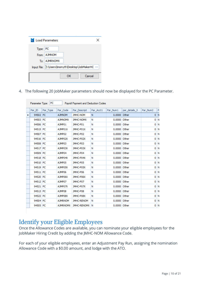|          | <b>Load Parameters</b> |    |                                                |
|----------|------------------------|----|------------------------------------------------|
| Type: PC |                        |    |                                                |
|          | From: AJMNOM           |    |                                                |
|          | To: AJMRNOMX           |    |                                                |
|          |                        |    | Input File: E:\Users\msmyth\Desktop\JobMakerHC |
|          |                        | ок | Cancel                                         |

4. The following 20 JobMaker parameters should now be displayed for the PC Parameter.

|   | Par ID   | Par Type | Par_Code        | Par Descript       | Par Acct1 | Par Num1     | par details 3 | Par_Num2 | P,    |
|---|----------|----------|-----------------|--------------------|-----------|--------------|---------------|----------|-------|
| ▶ | 94502 PC |          | <b>MO/MLA</b>   | <b>JMHC-NOM</b>    | N         | 0.0000 Other |               |          | 0 N   |
|   | 94503 PC |          | <b>AJMNOMX</b>  | <b>JMHC-NOMX</b>   | N         | 0.0000       | Other         |          | 0 N   |
|   | 94506 PC |          | AJMP01          | JMHC-P01           | Ν         | 0.0000       | Other         |          | 0 N   |
|   | 94515 PC |          | A JMPO 1X       | JMHC-P01X          | Ν         | 0.0000 Other |               |          | 0 N   |
|   | 94507 PC |          | AJMP02          | JMHC-P02           | Ν         | 0.0000 Other |               |          | 0 N   |
|   | 94516 PC |          | AJMP02X         | JMHC-P02X          | Ν         | 0.0000 Other |               |          | 0 N   |
|   | 94508 PC |          | AJMP03          | JMHC-P03           | Ν         | 0.0000 Other |               |          | 0 N   |
|   | 94517 PC |          | AJMP03X         | JMHC-P03X          | Ν         | 0.0000 Other |               |          | 0 N   |
|   | 94509 PC |          | AJMP04          | JMHC-P04           | Ν         | 0.0000 Other |               |          | 0 N   |
|   | 94518 PC |          | AJMP04X         | JMHC-P04X          | Ν         | 0.0000 Other |               |          | 0 N   |
|   | 94510 PC |          | AJMP05          | JMHC-P05           | Ν         | 0.0000 Other |               |          | 0   N |
|   | 94519 PC |          | A IMPO5X        | JMHC-P05X          | Ν         | 0.0000 Other |               |          | 0 N   |
|   | 94511 PC |          | AJMP06          | JMHC-P06           | Ν         | 0.0000 Other |               |          | 0 N   |
|   | 94520 PC |          | AJMP06X         | JMHC-P06X          | Ν         | 0.0000 Other |               |          | 0 N   |
|   | 94512 PC |          | AJMP07          | JMHC-P07           | Ν         | 0.0000       | Other         |          | 0   N |
|   | 94521 PC |          | AJMP07X         | JMHC-P07X          | Ν         | 0.0000 Other |               |          | 0 N   |
|   | 94513 PC |          | A IMP08         | JMHC-P08           | Ν         | 0.0000 Other |               |          | 0 N   |
|   | 94522 PC |          | AJMP08X         | JMHC-P08X          | Ν         | 0.0000 Other |               |          | 0 N   |
|   | 94504 PC |          | <b>AJMRNOM</b>  | <b>JMHC-RENOM</b>  | Ν         | 0.0000 Other |               |          | 0 N   |
|   | 94505 PC |          | <b>AJMRNOMX</b> | <b>JMHC-RENOMX</b> | 'N        | 0.0000 Other |               |          | 0 N   |

#### <span id="page-9-0"></span>Identify your Eligible Employees

Once the Allowance Codes are available, you can nominate your eligible employees for the JobMaker Hiring Credit by adding the JMHC-NOM Allowance Code.

For each of your eligible employees, enter an Adjustment Pay Run, assigning the nomination Allowance Code with a \$0.00 amount, and lodge with the ATO.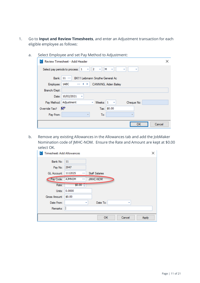- 1. Go to **Input and Review Timesheets**, and enter an Adjustment transaction for each eligible employee as follows:
	- a. Select Employee and set Pay Method to Adjustment:

| Review Timesheet - Add Header<br>×                                               |  |  |  |  |  |  |  |  |  |  |
|----------------------------------------------------------------------------------|--|--|--|--|--|--|--|--|--|--|
| 2 <br>М<br>$\sim$ $\sim$<br>Select pay periods to process: 1<br>٠<br>÷<br>٠<br>٠ |  |  |  |  |  |  |  |  |  |  |
| Bank: 11<br>BK11 Leibmann Smythe General Ac                                      |  |  |  |  |  |  |  |  |  |  |
| Employee: 1ABC<br>CANNING, Aiden Bailey<br>$\sim 100$                            |  |  |  |  |  |  |  |  |  |  |
| Branch/Dept:                                                                     |  |  |  |  |  |  |  |  |  |  |
| Date: 10/02/2021<br>٠                                                            |  |  |  |  |  |  |  |  |  |  |
| Pay Method: Adjustment<br>Weeks:<br>1<br>Cheque No:<br>$\mathcal{A}$             |  |  |  |  |  |  |  |  |  |  |
| Tax: \$0.00<br>Override Tax?<br>⊽                                                |  |  |  |  |  |  |  |  |  |  |
| Pay From:<br>To:<br>×                                                            |  |  |  |  |  |  |  |  |  |  |
| Cancel                                                                           |  |  |  |  |  |  |  |  |  |  |
|                                                                                  |  |  |  |  |  |  |  |  |  |  |

b. Remove any existing Allowances in the Allowances tab and add the JobMaker Nomination code of JMHC-NOM. Ensure the Rate and Amount are kept at \$0.00 select OK.

| <b>Timesheet: Add Allowances</b> |               |   |                       |        | ×     |
|----------------------------------|---------------|---|-----------------------|--------|-------|
| Bank No:                         | 11            |   |                       |        |       |
| Pay No:                          | 2947          |   |                       |        |       |
| GL Account:                      | 1112025       |   | <b>Staff Salaries</b> |        |       |
| Pay Code:                        | <b>AJMNOM</b> |   | <b>JMHC-NOM</b>       |        |       |
| Rate:                            | $$0.00^{-4}$  |   |                       |        |       |
| Units:                           | 0.0000        |   |                       |        |       |
| Gross Amount:                    | \$0.00        |   |                       |        |       |
| Date From:                       |               | ٠ | Date To:              | ٠      |       |
| Remarks:                         |               |   |                       |        |       |
|                                  |               |   | <b>OK</b>             | Cancel | Apply |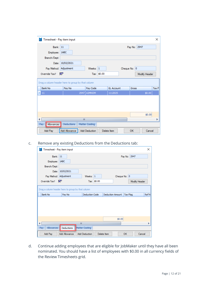| Timesheet - Pay item input |                                                   |                       |             |                   |              |              |               | ×            |
|----------------------------|---------------------------------------------------|-----------------------|-------------|-------------------|--------------|--------------|---------------|--------------|
| <b>Bank: 11</b>            |                                                   |                       |             |                   |              | Pay No: 2947 |               |              |
| Employee: 1ABC             |                                                   |                       |             |                   |              |              |               |              |
| Branch/Dept:               |                                                   |                       |             |                   |              |              |               |              |
|                            | Date: 10/02/2021                                  |                       |             |                   |              |              |               |              |
| Pay Method: Adjustment     |                                                   | Weeks: $1$            |             |                   | Cheque No: 0 |              |               |              |
| Override Tax?              | v                                                 |                       | Tax: \$0.00 |                   |              |              | Modify Header |              |
|                            | Drag a column header here to group by that column |                       |             |                   |              |              |               |              |
| Bank No                    | Pay No                                            | Pay Code              |             | <b>GL Account</b> |              | <b>Gross</b> |               | <b>Tax F</b> |
| ۶<br>11                    | 2947                                              | <b>AJMNOM</b>         |             | 1112025           |              |              | \$0.00        |              |
|                            |                                                   |                       |             |                   |              |              |               |              |
|                            |                                                   |                       |             |                   |              |              | \$0.00        |              |
| ◀                          | III                                               |                       |             |                   |              |              |               |              |
| Pay<br>Allowances          | Deductions                                        | <b>Matter Costing</b> |             |                   |              |              |               |              |
| Add Pay                    | Add Allowance                                     | <b>Add Deduction</b>  |             | Delete Item       |              | OK           | Cancel        |              |

#### c. Remove any existing Deductions from the Deductions tab:

| Timesheet - Pay item input<br>п.                  |                      |                       |             |                  |                 |               | ×           |  |  |  |  |
|---------------------------------------------------|----------------------|-----------------------|-------------|------------------|-----------------|---------------|-------------|--|--|--|--|
| <b>Bank: 11</b>                                   |                      |                       |             |                  | Pay No: 2947    |               |             |  |  |  |  |
| Employee: 1ABC                                    |                      |                       |             |                  |                 |               |             |  |  |  |  |
| Branch/Dept:                                      |                      |                       |             |                  |                 |               |             |  |  |  |  |
| Date:                                             | 10/02/2021           |                       |             |                  |                 |               |             |  |  |  |  |
| Pay Method: Adjustment                            |                      | Weeks: $1$            |             | Cheque No: 0     |                 |               |             |  |  |  |  |
| Override Tax?                                     | v                    | Tax: \$0.00           |             |                  |                 | Modify Header |             |  |  |  |  |
| Drag a column header here to group by that column |                      |                       |             |                  |                 |               |             |  |  |  |  |
| <b>Bank No</b>                                    | Pay No               | <b>Deduction Code</b> |             | Deduction Amount | <b>Tax Flag</b> |               | <b>RefN</b> |  |  |  |  |
|                                                   |                      |                       |             |                  |                 |               |             |  |  |  |  |
|                                                   |                      |                       |             | \$0.00           |                 |               |             |  |  |  |  |
|                                                   |                      | III                   |             |                  |                 |               | Þ           |  |  |  |  |
| Allowances<br>Pay                                 | Deductions           | Matter Costing        |             |                  |                 |               |             |  |  |  |  |
| Add Pay                                           | <b>Add Allowance</b> | <b>Add Deduction</b>  | Delete Item |                  | <b>OK</b>       | Cancel        |             |  |  |  |  |

d. Continue adding employees that are eligible for JobMaker until they have all been nominated. You should have a list of employees with \$0.00 in all currency fields of the Review Timesheets grid.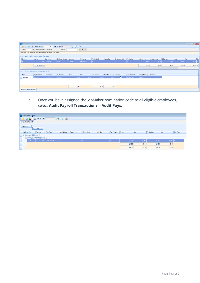| <b>Review Timesheets</b> |                                                                                                |                 |                        |              |              |            |                             |                       |                     |                 |              |           |        | $\begin{array}{c c c c c c} \hline \multicolumn{3}{c }{\mathbf{C}} & \multicolumn{3}{c }{\mathbf{X}} \end{array}$ |                         |
|--------------------------|------------------------------------------------------------------------------------------------|-----------------|------------------------|--------------|--------------|------------|-----------------------------|-----------------------|---------------------|-----------------|--------------|-----------|--------|-------------------------------------------------------------------------------------------------------------------|-------------------------|
|                          | 面印日<br>i a 日 盒 & Max. Records<br>80 C No. of Hits 1                                            |                 |                        |              |              |            |                             |                       |                     |                 |              |           |        |                                                                                                                   |                         |
|                          | $0$ $\frac{1}{2}$ $\frac{1}{2}$ Search<br>Bank: 11  BK11 Leibmann Smythe General Ac<br>Pay No: |                 |                        |              |              |            |                             |                       |                     |                 |              |           |        |                                                                                                                   |                         |
|                          | GREY: Pay Calculated, YELLOW: ETP, Orange: ETP (Pay Calculated)                                |                 |                        |              |              |            |                             |                       |                     |                 |              |           |        |                                                                                                                   |                         |
|                          | Drag a column header here to group by that column                                              |                 |                        |              |              |            |                             |                       |                     |                 |              |           |        |                                                                                                                   |                         |
| <b>Bank No</b>           | Pay No                                                                                         | Pay Date        | <b>Employee Number</b> | Lastname     | Firstname    | Pay Method | Cheque No                   | <b>Processed Code</b> | Pay Period          | Ordinary Pay    | Overtime Pay | Other Pay | Gross  | Tax                                                                                                               | Dec                     |
| $\geq 11$                |                                                                                                | 2947 10/02/2021 | 1ABC                   | Canning      | Aiden Bailey |            |                             |                       |                     | \$0.00          | \$0.00       | \$0.00    | \$0.00 |                                                                                                                   | \$0.00                  |
|                          | No. of pays: 1                                                                                 |                 |                        |              |              |            |                             |                       |                     | \$0.00          | \$0.00       | \$0.00    | \$0.00 |                                                                                                                   | $$0.00$ \$.             |
| ◂                        |                                                                                                |                 |                        |              |              |            |                             |                       |                     |                 |              |           |        |                                                                                                                   | $\blacktriangleright$ 1 |
|                          | Drag a column header here to group by that column                                              |                 |                        |              |              |            |                             |                       |                     |                 |              |           |        |                                                                                                                   |                         |
| Type                     | Pay Item Code                                                                                  | Description     | <b>GL Account</b>      | <b>Units</b> | Rate         | Pay Amount | Deduction Amount   Tax Flag |                       | <b>Last Updated</b> | Last Updated By | Remarks      |           |        |                                                                                                                   |                         |
| Payments                 | <b>AJMNOM</b>                                                                                  | JMHC-NOM        | 1112025                | 0.00         | \$0.00       | \$0.00     | \$0.00                      | $\Box$                | 10/02/2021          | <b>PROADM</b>   |              |           |        |                                                                                                                   |                         |
|                          |                                                                                                |                 |                        |              |              |            |                             |                       |                     |                 |              |           |        |                                                                                                                   |                         |
|                          |                                                                                                |                 |                        |              |              |            |                             |                       |                     |                 |              |           |        |                                                                                                                   |                         |
|                          |                                                                                                |                 |                        | 0.00         |              | \$0.00     | \$0.00                      |                       |                     |                 |              |           |        |                                                                                                                   |                         |
|                          | <b>Payments and Deductions</b>                                                                 |                 |                        |              |              |            |                             |                       |                     |                 |              |           |        |                                                                                                                   |                         |

e. Once you have assigned the JobMaker nomination code to all eligible employees, select **Audit Payroll Transactions** > **Audit Pays**:

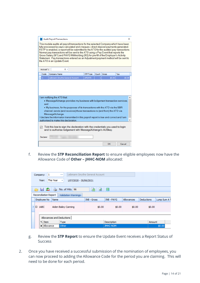|                                                                                                                                                                                                                                                                                                                                                                                                                                                                                                                                                                              | Audit Payroll Transactions<br>× |              |                                                                                                                                          |                 |       |              |        |  |  |  |  |
|------------------------------------------------------------------------------------------------------------------------------------------------------------------------------------------------------------------------------------------------------------------------------------------------------------------------------------------------------------------------------------------------------------------------------------------------------------------------------------------------------------------------------------------------------------------------------|---------------------------------|--------------|------------------------------------------------------------------------------------------------------------------------------------------|-----------------|-------|--------------|--------|--|--|--|--|
| This module audits all payroll transactions for the selected Company which have been<br>fully processed ie pays calculated and cheques / direct deposit payments generated.<br>If STP is enabled, a report will be submitted to the ATO for the audited pay transactions.<br>Normal pay transactions will be sent to the ATO using a Pay Event that reports the<br>Gross Salary (W1) and PAYG Withholding (W2) for pre-fill of the Employer's Activity<br>Statement. Pay transactions entered as an Adjustment payment method will be sent to<br>the ATO in an Update Event. |                                 |              |                                                                                                                                          |                 |       |              |        |  |  |  |  |
| Accrual %:<br>$0 -$                                                                                                                                                                                                                                                                                                                                                                                                                                                                                                                                                          |                                 |              |                                                                                                                                          |                 |       |              |        |  |  |  |  |
|                                                                                                                                                                                                                                                                                                                                                                                                                                                                                                                                                                              | Code                            | Company Name |                                                                                                                                          | <b>STP Type</b> | Count | <b>Gross</b> | Tax    |  |  |  |  |
| $\mathbf{1}$                                                                                                                                                                                                                                                                                                                                                                                                                                                                                                                                                                 |                                 |              | Leibmann Smythe General Account                                                                                                          | <b>UPDATE</b>   |       | \$0.00       | \$0.00 |  |  |  |  |
| I am notifying the ATO that:<br>. MessageXchange provides my business with lodgement transaction services;<br>and<br>. My business, for the purposes of its transactions with the ATO via the SBR<br>channel, sends (and receives) those transactions to (and from) the ATO via                                                                                                                                                                                                                                                                                              |                                 |              |                                                                                                                                          |                 |       |              |        |  |  |  |  |
| MessageXchange.<br>I declare the information transmitted in this payroll report is true and correct and I am<br>authorised to make this declaration.                                                                                                                                                                                                                                                                                                                                                                                                                         |                                 |              |                                                                                                                                          |                 |       |              |        |  |  |  |  |
|                                                                                                                                                                                                                                                                                                                                                                                                                                                                                                                                                                              |                                 |              |                                                                                                                                          |                 |       |              |        |  |  |  |  |
| ☑                                                                                                                                                                                                                                                                                                                                                                                                                                                                                                                                                                            | Declarer:                       |              | Tick this box to sign the declaration with the credentials you used to login<br>and to authorise lodgement with MessageXchange's AUSkey. |                 |       |              |        |  |  |  |  |

f. Review the **STP Reconciliation Report** to ensure eligible employees now have the Allowance Code of **Other – JHHC-NOM** allocated:

|                                                     | 1<br>Company:                            | $\sim$ |  | Leibmann Smythe General Account |                 |                   |            |              |  |  |  |  |
|-----------------------------------------------------|------------------------------------------|--------|--|---------------------------------|-----------------|-------------------|------------|--------------|--|--|--|--|
|                                                     | This Year<br>Year:                       |        |  |                                 |                 |                   |            |              |  |  |  |  |
| 6 a 5<br>È<br>B<br>No. of Hits 96<br>ø              |                                          |        |  |                                 |                 |                   |            |              |  |  |  |  |
| <b>Reconciliation Report</b><br>Validation Warnings |                                          |        |  |                                 |                 |                   |            |              |  |  |  |  |
|                                                     | Employee No                              | Name   |  | <b>INB - Gross</b>              | INB - PAYG      | <b>Allowances</b> | Deductions | Lump Sum A T |  |  |  |  |
|                                                     | Aiden Bailey Canning<br>$\boxminus$ 1ABC |        |  | \$0.00                          | \$0.00          | \$0.00            | \$0.00     |              |  |  |  |  |
| Allowances and Deductions                           |                                          |        |  |                                 |                 |                   |            |              |  |  |  |  |
|                                                     | o, Item<br><b>Type</b>                   |        |  |                                 | Description     |                   |            | Amount       |  |  |  |  |
| Other<br>Allowance                                  |                                          |        |  |                                 | <b>JMHC-NOM</b> | \$0.00            |            |              |  |  |  |  |

- g. Review the **STP Report** to ensure the Update Event receives a Report Status of Success
- 2. Once you have received a successful submission of the nomination of employees, you can now proceed to adding the Allowance Code for the period you are claiming. This will need to be done for each period.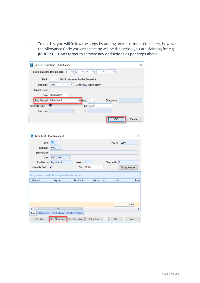a. To do this, you will follow the steps by adding an Adjustment timesheet, however the Allowance Code you are selecting will be the period you are claiming for e.g. JMHC-P01. Don't forget to remove any deductions as per steps above.

| <b>D.</b> Review Timesheet - Add Header                                   | × |
|---------------------------------------------------------------------------|---|
| $ 2 - \tau $<br>M<br>Select pay periods to process: 1<br>v<br>÷<br>٠<br>٠ |   |
| Bank:   11<br>BK11 Leibmann Smythe General Ac                             |   |
| Employee: 1ABC<br>CANNING, Aiden Bailey<br>$\sim$<br>⊣ ⊧                  |   |
| Branch/Dept:                                                              |   |
| Date: 18/02/2021<br>٠                                                     |   |
| Pay Method: Adjustment<br>$Wt$ eks: $1$<br>Cheque No:<br>÷.<br>$\sim$     |   |
| Tax: \$0.00<br>Override Tax?<br>M                                         |   |
| Pay From:<br>To:                                                          |   |
| Cancel<br>nκ                                                              |   |

| Timesheet - Pay item input<br>ũ.                  |                  |                       |                   |              |               | $\times$ |
|---------------------------------------------------|------------------|-----------------------|-------------------|--------------|---------------|----------|
| Bank: 11                                          |                  |                       |                   |              | Pay No: 2950  |          |
| Employee: 1ABC                                    |                  |                       |                   |              |               |          |
| Branch/Dept:                                      |                  |                       |                   |              |               |          |
|                                                   | Date: 18/02/2021 |                       |                   |              |               |          |
| Pay Method: Adjustment                            |                  | Weeks: $1$            |                   | Cheque No: 0 |               |          |
| Override Tax? $\nabla$                            |                  | Tax: \$0.00           |                   |              | Modify Header |          |
| Bank No                                           | Pay No           | Pay Code              | <b>GL Account</b> | <b>Units</b> |               |          |
| Drag a column header here to group by that column |                  |                       |                   |              |               | Rate     |
|                                                   |                  |                       |                   |              | 0.00          |          |
|                                                   | III              |                       |                   |              |               |          |
| Allowances<br>Pay                                 | Deductions       | <b>Matter Costing</b> |                   |              |               |          |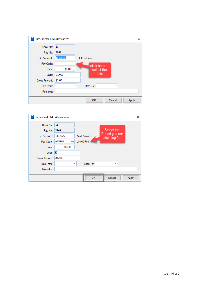| Timesheet: Add Allowances |                       |                              | × |
|---------------------------|-----------------------|------------------------------|---|
| Bank No:                  | 11                    |                              |   |
| Pay No:                   | 2949                  |                              |   |
| <b>GL Account:</b>        | 1112025<br><b>COL</b> | <b>Staff Salaries</b>        |   |
| Pay Code:                 |                       | click here to                |   |
| Rate:                     | ¢<br>\$0.00           | select the                   |   |
| Units:                    | 0.0000                | code                         |   |
| Gross Amount:             | \$0.00                |                              |   |
| Date From:                |                       | Date To:<br>٠<br>٠           |   |
| Remarks:                  |                       |                              |   |
|                           |                       | Cancel<br><b>OK</b><br>Apply |   |

| <b>Timesheet: Add Allowances</b> |                       |            | ×                              |
|----------------------------------|-----------------------|------------|--------------------------------|
| 11                               |                       |            |                                |
| 2949                             |                       | Select the |                                |
| 1112025<br>$\cdots$              | <b>Staff Salaries</b> |            |                                |
| AJMP01<br>                       | JMHC-P01              |            |                                |
| \$0.00 $\hat{z}$                 |                       |            |                                |
| þ                                |                       |            |                                |
| \$0.00                           |                       |            |                                |
|                                  | Date To:              |            |                                |
|                                  |                       |            |                                |
|                                  | OK                    | Cancel     | Apply                          |
|                                  |                       |            | Period you are<br>claiming for |